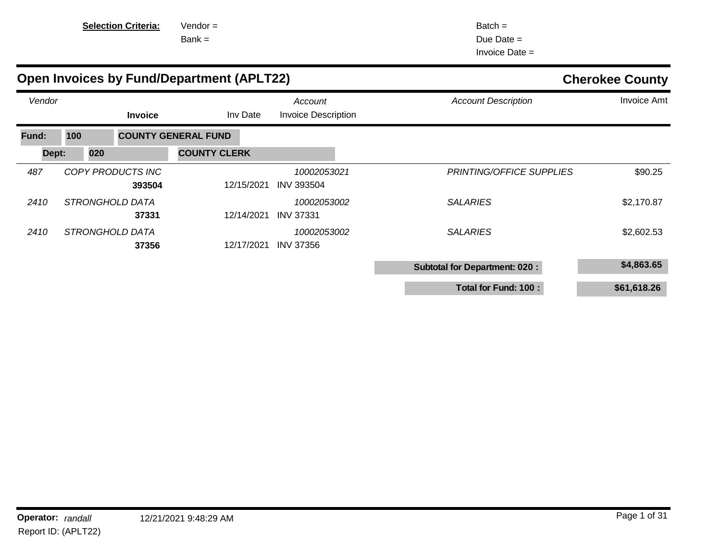| <b>Selection Criter</b> |
|-------------------------|
|-------------------------|

**Fia:** Vendor =

Bank =

Batch = Due Date = Invoice Date =

|        |     |     |                             | <b>Open Invoices by Fund/Department (APLT22)</b> | <b>Cherokee County</b>                |                                      |                    |
|--------|-----|-----|-----------------------------|--------------------------------------------------|---------------------------------------|--------------------------------------|--------------------|
| Vendor |     |     | <b>Invoice</b>              | Inv Date                                         | Account<br><b>Invoice Description</b> | <b>Account Description</b>           | <b>Invoice Amt</b> |
| Fund:  | 100 |     |                             | <b>COUNTY GENERAL FUND</b>                       |                                       |                                      |                    |
| Dept:  |     | 020 |                             | <b>COUNTY CLERK</b>                              |                                       |                                      |                    |
| 487    |     |     | COPY PRODUCTS INC<br>393504 | 12/15/2021                                       | 10002053021<br><b>INV 393504</b>      | <b>PRINTING/OFFICE SUPPLIES</b>      | \$90.25            |
| 2410   |     |     | STRONGHOLD DATA<br>37331    | 12/14/2021                                       | 10002053002<br><b>INV 37331</b>       | <b>SALARIES</b>                      | \$2,170.87         |
| 2410   |     |     | STRONGHOLD DATA<br>37356    | 12/17/2021                                       | 10002053002<br><b>INV 37356</b>       | <b>SALARIES</b>                      | \$2,602.53         |
|        |     |     |                             |                                                  |                                       | <b>Subtotal for Department: 020:</b> | \$4,863.65         |
|        |     |     |                             |                                                  |                                       | Total for Fund: 100 :                | \$61,618.26        |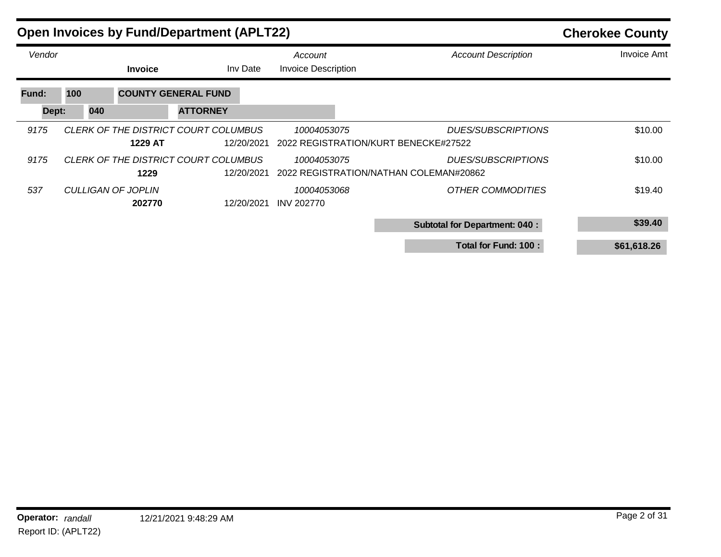| <b>Open Invoices by Fund/Department (APLT22)</b> | <b>Cherokee County</b> |                              |                                                    |                                                     |                                                                     |                    |
|--------------------------------------------------|------------------------|------------------------------|----------------------------------------------------|-----------------------------------------------------|---------------------------------------------------------------------|--------------------|
| Vendor                                           |                        | <b>Invoice</b>               | Inv Date                                           | Account<br><b>Invoice Description</b>               | <b>Account Description</b>                                          | <b>Invoice Amt</b> |
| Fund:                                            | 100                    |                              | <b>COUNTY GENERAL FUND</b>                         |                                                     |                                                                     |                    |
| Dept:                                            | 040                    |                              | <b>ATTORNEY</b>                                    |                                                     |                                                                     |                    |
| 9175                                             |                        | 1229 AT                      | CLERK OF THE DISTRICT COURT COLUMBUS<br>12/20/2021 | 10004053075<br>2022 REGISTRATION/KURT BENECKE#27522 | <b>DUES/SUBSCRIPTIONS</b>                                           | \$10.00            |
| 9175                                             |                        | 1229                         | CLERK OF THE DISTRICT COURT COLUMBUS<br>12/20/2021 | 10004053075                                         | <b>DUES/SUBSCRIPTIONS</b><br>2022 REGISTRATION/NATHAN COLEMAN#20862 | \$10.00            |
| 537                                              |                        | CULLIGAN OF JOPLIN<br>202770 | 12/20/2021                                         | 10004053068<br><b>INV 202770</b>                    | <b>OTHER COMMODITIES</b>                                            | \$19.40            |
|                                                  |                        |                              |                                                    |                                                     | <b>Subtotal for Department: 040:</b>                                | \$39.40            |
|                                                  |                        |                              |                                                    |                                                     | Total for Fund: 100 :                                               | \$61,618.26        |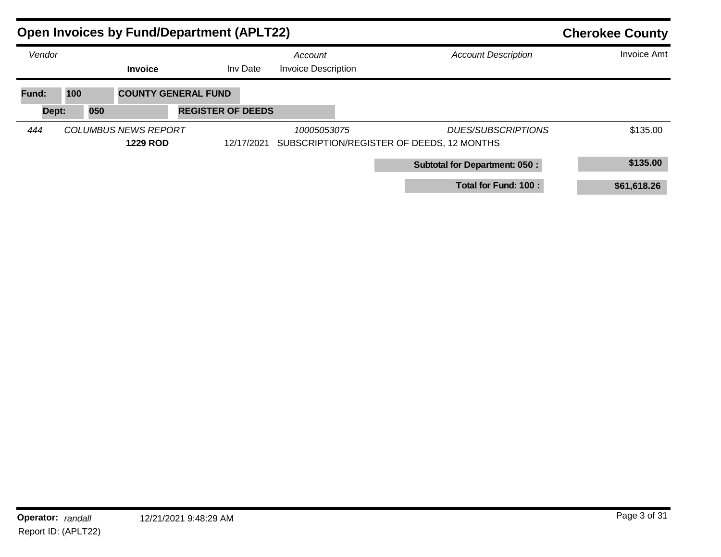|        | <b>Open Invoices by Fund/Department (APLT22)</b> |                                                |                            |            |                                       |  |                                                                        |                    |  |
|--------|--------------------------------------------------|------------------------------------------------|----------------------------|------------|---------------------------------------|--|------------------------------------------------------------------------|--------------------|--|
| Vendor |                                                  | <b>Invoice</b>                                 |                            | Inv Date   | Account<br><b>Invoice Description</b> |  | <b>Account Description</b>                                             | <b>Invoice Amt</b> |  |
| Fund:  | 100                                              |                                                | <b>COUNTY GENERAL FUND</b> |            |                                       |  |                                                                        |                    |  |
| Dept:  | 050                                              |                                                | <b>REGISTER OF DEEDS</b>   |            |                                       |  |                                                                        |                    |  |
| 444    |                                                  | <b>COLUMBUS NEWS REPORT</b><br><b>1229 ROD</b> |                            | 12/17/2021 | 10005053075                           |  | <b>DUES/SUBSCRIPTIONS</b><br>SUBSCRIPTION/REGISTER OF DEEDS, 12 MONTHS | \$135.00           |  |
|        |                                                  |                                                |                            |            |                                       |  | <b>Subtotal for Department: 050:</b>                                   | \$135.00           |  |
|        |                                                  |                                                |                            |            |                                       |  | Total for Fund: 100 :                                                  | \$61,618.26        |  |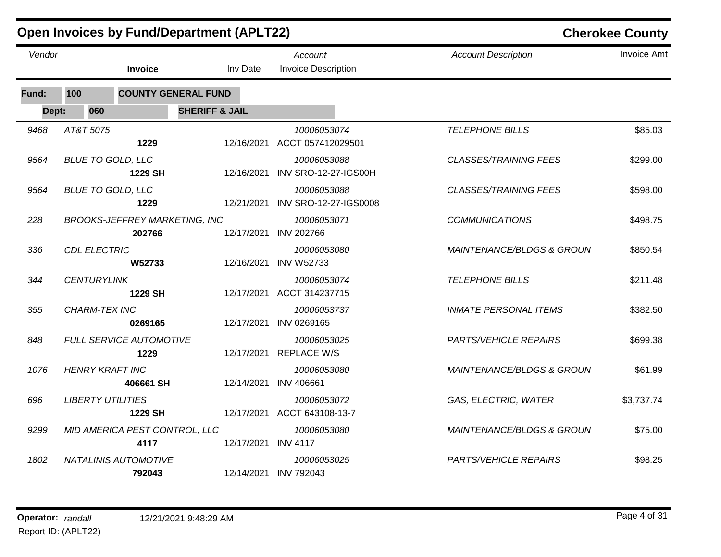|        |                          |                                                | <b>Open Invoices by Fund/Department (APLT22)</b> |                                                 | <b>Cherokee County</b>               |                    |  |
|--------|--------------------------|------------------------------------------------|--------------------------------------------------|-------------------------------------------------|--------------------------------------|--------------------|--|
| Vendor |                          | <b>Invoice</b>                                 | Inv Date                                         | Account<br><b>Invoice Description</b>           | <b>Account Description</b>           | <b>Invoice Amt</b> |  |
| Fund:  | 100                      | <b>COUNTY GENERAL FUND</b>                     |                                                  |                                                 |                                      |                    |  |
| Dept:  | 060                      |                                                | <b>SHERIFF &amp; JAIL</b>                        |                                                 |                                      |                    |  |
| 9468   | AT&T 5075                | 1229                                           |                                                  | 10006053074<br>12/16/2021 ACCT 057412029501     | <b>TELEPHONE BILLS</b>               | \$85.03            |  |
| 9564   | <b>BLUE TO GOLD, LLC</b> | 1229 SH                                        | 12/16/2021                                       | 10006053088<br>INV SRO-12-27-IGS00H             | <b>CLASSES/TRAINING FEES</b>         | \$299.00           |  |
| 9564   | <b>BLUE TO GOLD, LLC</b> | 1229                                           |                                                  | 10006053088<br>12/21/2021 INV SRO-12-27-IGS0008 | <b>CLASSES/TRAINING FEES</b>         | \$598.00           |  |
| 228    |                          | <b>BROOKS-JEFFREY MARKETING, INC</b><br>202766 |                                                  | 10006053071<br>12/17/2021 INV 202766            | <b>COMMUNICATIONS</b>                | \$498.75           |  |
| 336    | <b>CDL ELECTRIC</b>      | W52733                                         | 12/16/2021                                       | 10006053080<br><b>INV W52733</b>                | <i>MAINTENANCE/BLDGS &amp; GROUN</i> | \$850.54           |  |
| 344    | <b>CENTURYLINK</b>       | 1229 SH                                        |                                                  | 10006053074<br>12/17/2021 ACCT 314237715        | <b>TELEPHONE BILLS</b>               | \$211.48           |  |
| 355    | <b>CHARM-TEX INC</b>     | 0269165                                        | 12/17/2021                                       | 10006053737<br>INV 0269165                      | <b>INMATE PERSONAL ITEMS</b>         | \$382.50           |  |
| 848    |                          | <b>FULL SERVICE AUTOMOTIVE</b><br>1229         |                                                  | 10006053025<br>12/17/2021 REPLACE W/S           | <b>PARTS/VEHICLE REPAIRS</b>         | \$699.38           |  |
| 1076   | <b>HENRY KRAFT INC</b>   | 406661 SH                                      |                                                  | 10006053080<br>12/14/2021 INV 406661            | <b>MAINTENANCE/BLDGS &amp; GROUN</b> | \$61.99            |  |
| 696    | <b>LIBERTY UTILITIES</b> | 1229 SH                                        |                                                  | 10006053072<br>12/17/2021 ACCT 643108-13-7      | GAS, ELECTRIC, WATER                 | \$3,737.74         |  |
| 9299   |                          | MID AMERICA PEST CONTROL, LLC<br>4117          | 12/17/2021 INV 4117                              | 10006053080                                     | MAINTENANCE/BLDGS & GROUN            | \$75.00            |  |
| 1802   |                          | <b>NATALINIS AUTOMOTIVE</b><br>792043          |                                                  | 10006053025<br>12/14/2021 INV 792043            | <b>PARTS/VEHICLE REPAIRS</b>         | \$98.25            |  |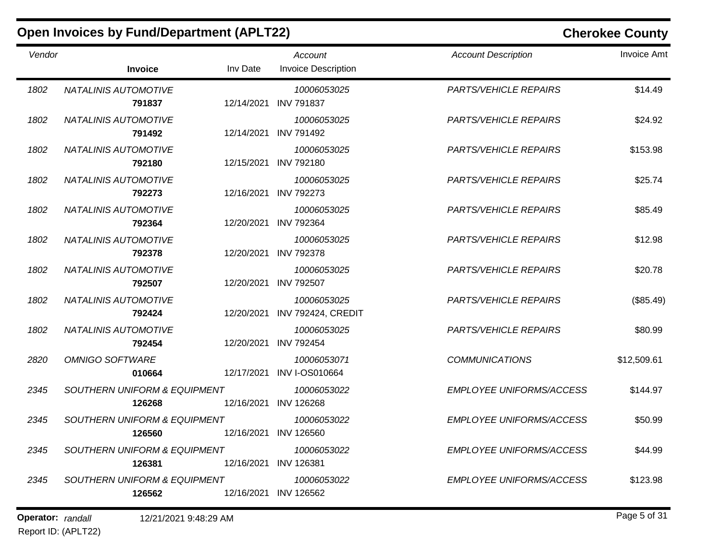|        | <b>Open Invoices by Fund/Department (APLT22)</b>  |            |                                       | <b>Cherokee County</b>          |                    |  |
|--------|---------------------------------------------------|------------|---------------------------------------|---------------------------------|--------------------|--|
| Vendor | <b>Invoice</b>                                    | Inv Date   | Account<br><b>Invoice Description</b> | <b>Account Description</b>      | <b>Invoice Amt</b> |  |
| 1802   | <b>NATALINIS AUTOMOTIVE</b><br>791837             | 12/14/2021 | 10006053025<br><b>INV 791837</b>      | <b>PARTS/VEHICLE REPAIRS</b>    | \$14.49            |  |
| 1802   | <b>NATALINIS AUTOMOTIVE</b><br>791492             | 12/14/2021 | 10006053025<br><b>INV 791492</b>      | <b>PARTS/VEHICLE REPAIRS</b>    | \$24.92            |  |
| 1802   | <b>NATALINIS AUTOMOTIVE</b><br>792180             | 12/15/2021 | 10006053025<br><b>INV 792180</b>      | <b>PARTS/VEHICLE REPAIRS</b>    | \$153.98           |  |
| 1802   | <b>NATALINIS AUTOMOTIVE</b><br>792273             | 12/16/2021 | 10006053025<br><b>INV 792273</b>      | <b>PARTS/VEHICLE REPAIRS</b>    | \$25.74            |  |
| 1802   | <b>NATALINIS AUTOMOTIVE</b><br>792364             | 12/20/2021 | 10006053025<br><b>INV 792364</b>      | <b>PARTS/VEHICLE REPAIRS</b>    | \$85.49            |  |
| 1802   | NATALINIS AUTOMOTIVE<br>792378                    | 12/20/2021 | 10006053025<br><b>INV 792378</b>      | <b>PARTS/VEHICLE REPAIRS</b>    | \$12.98            |  |
| 1802   | <b>NATALINIS AUTOMOTIVE</b><br>792507             | 12/20/2021 | 10006053025<br><b>INV 792507</b>      | <b>PARTS/VEHICLE REPAIRS</b>    | \$20.78            |  |
| 1802   | NATALINIS AUTOMOTIVE<br>792424                    | 12/20/2021 | 10006053025<br>INV 792424, CREDIT     | <b>PARTS/VEHICLE REPAIRS</b>    | (\$85.49)          |  |
| 1802   | <b>NATALINIS AUTOMOTIVE</b><br>792454             | 12/20/2021 | 10006053025<br><b>INV 792454</b>      | <b>PARTS/VEHICLE REPAIRS</b>    | \$80.99            |  |
| 2820   | <b>OMNIGO SOFTWARE</b><br>010664                  | 12/17/2021 | 10006053071<br><b>INV I-OS010664</b>  | <b>COMMUNICATIONS</b>           | \$12,509.61        |  |
| 2345   | SOUTHERN UNIFORM & EQUIPMENT<br>126268            | 12/16/2021 | 10006053022<br><b>INV 126268</b>      | EMPLOYEE UNIFORMS/ACCESS        | \$144.97           |  |
| 2345   | <b>SOUTHERN UNIFORM &amp; EQUIPMENT</b><br>126560 |            | 10006053022<br>12/16/2021 INV 126560  | <b>EMPLOYEE UNIFORMS/ACCESS</b> | \$50.99            |  |
| 2345   | SOUTHERN UNIFORM & EQUIPMENT<br>126381            |            | 10006053022<br>12/16/2021 INV 126381  | EMPLOYEE UNIFORMS/ACCESS        | \$44.99            |  |
| 2345   | <b>SOUTHERN UNIFORM &amp; EQUIPMENT</b><br>126562 |            | 10006053022<br>12/16/2021 INV 126562  | EMPLOYEE UNIFORMS/ACCESS        | \$123.98           |  |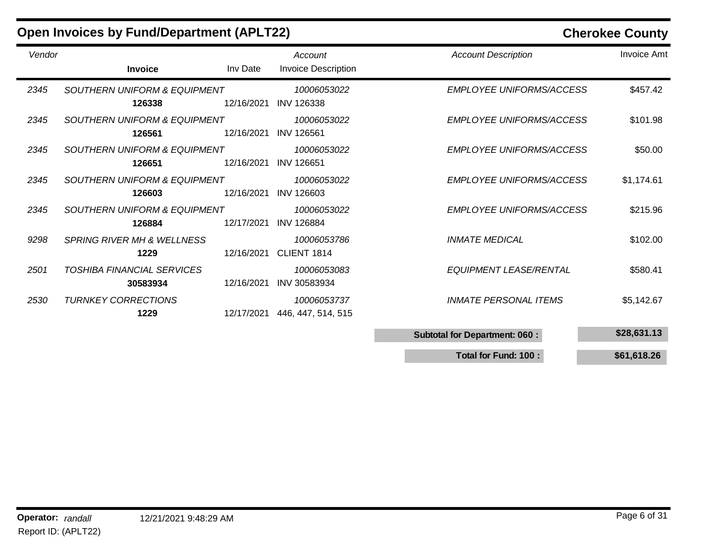|        | <b>Open Invoices by Fund/Department (APLT22)</b>  |            |                                       |                                      | <b>Cherokee County</b> |
|--------|---------------------------------------------------|------------|---------------------------------------|--------------------------------------|------------------------|
| Vendor | <b>Invoice</b>                                    | Inv Date   | Account<br><b>Invoice Description</b> | <b>Account Description</b>           | <b>Invoice Amt</b>     |
| 2345   | <b>SOUTHERN UNIFORM &amp; EQUIPMENT</b><br>126338 | 12/16/2021 | 10006053022<br><b>INV 126338</b>      | <b>EMPLOYEE UNIFORMS/ACCESS</b>      | \$457.42               |
| 2345   | <b>SOUTHERN UNIFORM &amp; EQUIPMENT</b><br>126561 | 12/16/2021 | 10006053022<br><b>INV 126561</b>      | EMPLOYEE UNIFORMS/ACCESS             | \$101.98               |
| 2345   | SOUTHERN UNIFORM & EQUIPMENT<br>126651            | 12/16/2021 | 10006053022<br><b>INV 126651</b>      | EMPLOYEE UNIFORMS/ACCESS             | \$50.00                |
| 2345   | SOUTHERN UNIFORM & EQUIPMENT<br>126603            | 12/16/2021 | 10006053022<br><b>INV 126603</b>      | EMPLOYEE UNIFORMS/ACCESS             | \$1,174.61             |
| 2345   | <b>SOUTHERN UNIFORM &amp; EQUIPMENT</b><br>126884 | 12/17/2021 | 10006053022<br><b>INV 126884</b>      | EMPLOYEE UNIFORMS/ACCESS             | \$215.96               |
| 9298   | <b>SPRING RIVER MH &amp; WELLNESS</b><br>1229     | 12/16/2021 | 10006053786<br>CLIENT 1814            | <b>INMATE MEDICAL</b>                | \$102.00               |
| 2501   | TOSHIBA FINANCIAL SERVICES<br>30583934            | 12/16/2021 | 10006053083<br><b>INV 30583934</b>    | EQUIPMENT LEASE/RENTAL               | \$580.41               |
| 2530   | <b>TURNKEY CORRECTIONS</b><br>1229                | 12/17/2021 | 10006053737<br>446, 447, 514, 515     | <i><b>INMATE PERSONAL ITEMS</b></i>  | \$5,142.67             |
|        |                                                   |            |                                       | <b>Subtotal for Department: 060:</b> | \$28,631.13            |

**Total for Fund: 100 : \$61,618.26**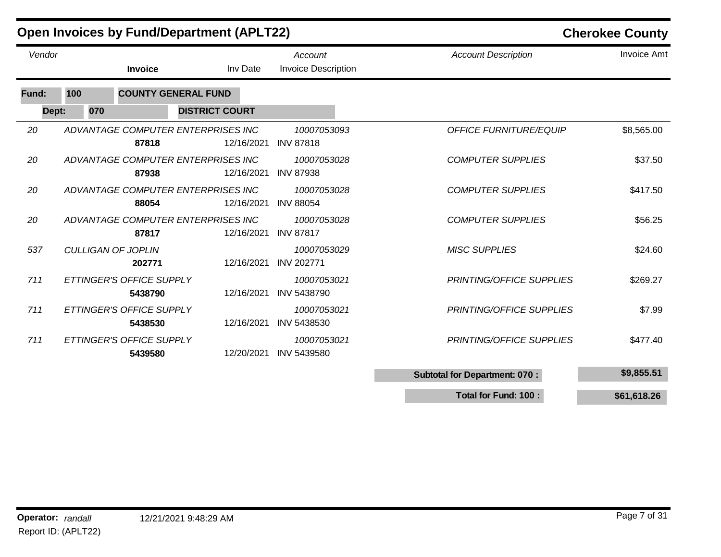|        |     | <b>Open Invoices by Fund/Department (APLT22)</b> |                       |                                       |                                      | <b>Cherokee County</b> |
|--------|-----|--------------------------------------------------|-----------------------|---------------------------------------|--------------------------------------|------------------------|
| Vendor |     | <b>Invoice</b>                                   | Inv Date              | Account<br><b>Invoice Description</b> | <b>Account Description</b>           | <b>Invoice Amt</b>     |
| Fund:  | 100 | <b>COUNTY GENERAL FUND</b>                       |                       |                                       |                                      |                        |
| Dept:  | 070 |                                                  | <b>DISTRICT COURT</b> |                                       |                                      |                        |
| 20     |     | ADVANTAGE COMPUTER ENTERPRISES INC<br>87818      | 12/16/2021            | 10007053093<br><b>INV 87818</b>       | <b>OFFICE FURNITURE/EQUIP</b>        | \$8,565.00             |
| 20     |     | ADVANTAGE COMPUTER ENTERPRISES INC<br>87938      | 12/16/2021            | 10007053028<br><b>INV 87938</b>       | <b>COMPUTER SUPPLIES</b>             | \$37.50                |
| 20     |     | ADVANTAGE COMPUTER ENTERPRISES INC<br>88054      | 12/16/2021            | 10007053028<br><b>INV 88054</b>       | <b>COMPUTER SUPPLIES</b>             | \$417.50               |
| 20     |     | ADVANTAGE COMPUTER ENTERPRISES INC<br>87817      | 12/16/2021            | 10007053028<br><b>INV 87817</b>       | <b>COMPUTER SUPPLIES</b>             | \$56.25                |
| 537    |     | <b>CULLIGAN OF JOPLIN</b><br>202771              | 12/16/2021            | 10007053029<br><b>INV 202771</b>      | <b>MISC SUPPLIES</b>                 | \$24.60                |
| 711    |     | ETTINGER'S OFFICE SUPPLY<br>5438790              | 12/16/2021            | 10007053021<br><b>INV 5438790</b>     | PRINTING/OFFICE SUPPLIES             | \$269.27               |
| 711    |     | ETTINGER'S OFFICE SUPPLY<br>5438530              | 12/16/2021            | 10007053021<br><b>INV 5438530</b>     | PRINTING/OFFICE SUPPLIES             | \$7.99                 |
| 711    |     | ETTINGER'S OFFICE SUPPLY<br>5439580              | 12/20/2021            | 10007053021<br>INV 5439580            | PRINTING/OFFICE SUPPLIES             | \$477.40               |
|        |     |                                                  |                       |                                       | <b>Subtotal for Department: 070:</b> | \$9,855.51             |

**Total for Fund: 100 : \$61,618.26**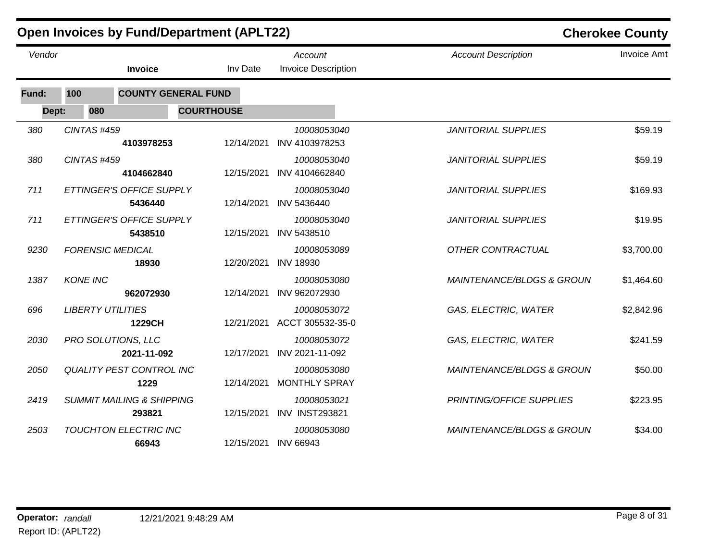|        |                          | <b>Open Invoices by Fund/Department (APLT22)</b> |                   |                                       | <b>Cherokee County</b>               |                    |  |
|--------|--------------------------|--------------------------------------------------|-------------------|---------------------------------------|--------------------------------------|--------------------|--|
| Vendor |                          | Invoice                                          | Inv Date          | Account<br><b>Invoice Description</b> | <b>Account Description</b>           | <b>Invoice Amt</b> |  |
| Fund:  | 100                      | <b>COUNTY GENERAL FUND</b>                       |                   |                                       |                                      |                    |  |
| Dept:  | 080                      |                                                  | <b>COURTHOUSE</b> |                                       |                                      |                    |  |
| 380    | CINTAS #459              | 4103978253                                       | 12/14/2021        | 10008053040<br>INV 4103978253         | <b>JANITORIAL SUPPLIES</b>           | \$59.19            |  |
| 380    | CINTAS #459              | 4104662840                                       | 12/15/2021        | 10008053040<br>INV 4104662840         | <b>JANITORIAL SUPPLIES</b>           | \$59.19            |  |
| 711    |                          | ETTINGER'S OFFICE SUPPLY<br>5436440              | 12/14/2021        | 10008053040<br>INV 5436440            | <b>JANITORIAL SUPPLIES</b>           | \$169.93           |  |
| 711    |                          | ETTINGER'S OFFICE SUPPLY<br>5438510              | 12/15/2021        | 10008053040<br>INV 5438510            | <b>JANITORIAL SUPPLIES</b>           | \$19.95            |  |
| 9230   | <b>FORENSIC MEDICAL</b>  | 18930                                            | 12/20/2021        | 10008053089<br><b>INV 18930</b>       | OTHER CONTRACTUAL                    | \$3,700.00         |  |
| 1387   | <b>KONE INC</b>          | 962072930                                        | 12/14/2021        | 10008053080<br>INV 962072930          | <b>MAINTENANCE/BLDGS &amp; GROUN</b> | \$1,464.60         |  |
| 696    | <b>LIBERTY UTILITIES</b> | 1229CH                                           | 12/21/2021        | 10008053072<br>ACCT 305532-35-0       | GAS, ELECTRIC, WATER                 | \$2,842.96         |  |
| 2030   |                          | PRO SOLUTIONS, LLC<br>2021-11-092                | 12/17/2021        | 10008053072<br>INV 2021-11-092        | GAS, ELECTRIC, WATER                 | \$241.59           |  |
| 2050   |                          | <b>QUALITY PEST CONTROL INC</b><br>1229          | 12/14/2021        | 10008053080<br><b>MONTHLY SPRAY</b>   | <b>MAINTENANCE/BLDGS &amp; GROUN</b> | \$50.00            |  |
| 2419   |                          | <b>SUMMIT MAILING &amp; SHIPPING</b><br>293821   | 12/15/2021        | 10008053021<br><b>INV INST293821</b>  | PRINTING/OFFICE SUPPLIES             | \$223.95           |  |
| 2503   |                          | <b>TOUCHTON ELECTRIC INC</b><br>66943            | 12/15/2021        | 10008053080<br><b>INV 66943</b>       | <b>MAINTENANCE/BLDGS &amp; GROUN</b> | \$34.00            |  |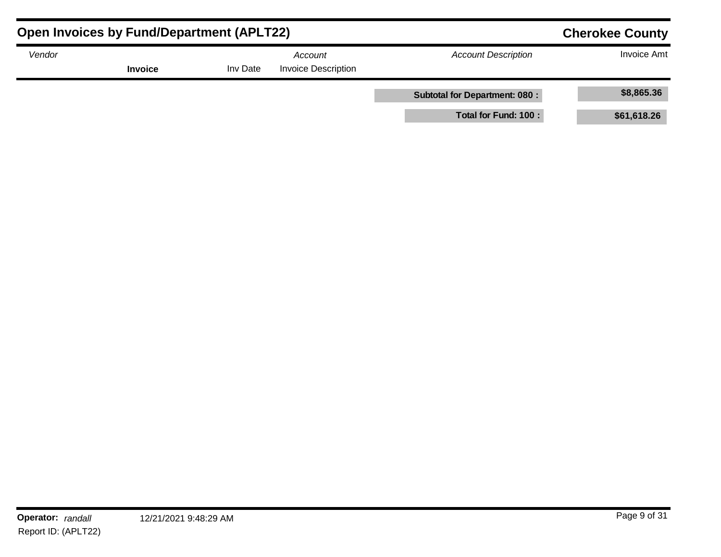| <b>Open Invoices by Fund/Department (APLT22)</b> | <b>Cherokee County</b> |          |                                       |                                      |                    |
|--------------------------------------------------|------------------------|----------|---------------------------------------|--------------------------------------|--------------------|
| Vendor                                           | <b>Invoice</b>         | Inv Date | Account<br><b>Invoice Description</b> | <b>Account Description</b>           | <b>Invoice Amt</b> |
|                                                  |                        |          |                                       | <b>Subtotal for Department: 080:</b> | \$8,865.36         |
|                                                  |                        |          |                                       | Total for Fund: 100 :                | \$61,618.26        |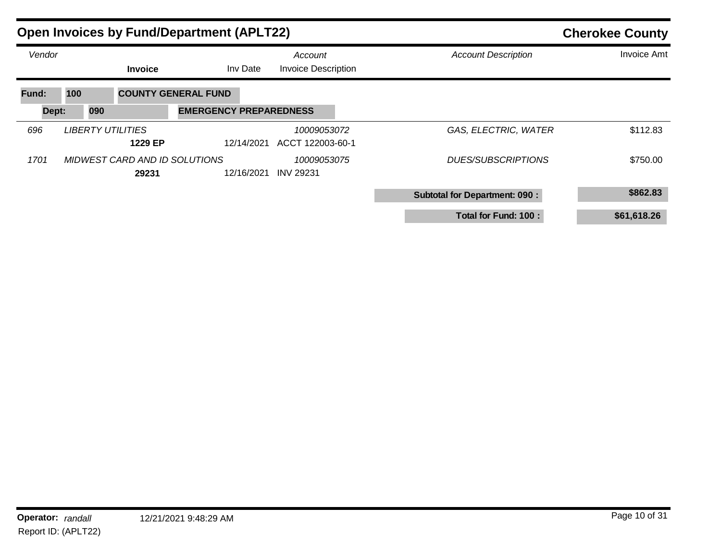|        |     |     |                                     | <b>Open Invoices by Fund/Department (APLT22)</b> | <b>Cherokee County</b> |                                       |  |                                      |                    |
|--------|-----|-----|-------------------------------------|--------------------------------------------------|------------------------|---------------------------------------|--|--------------------------------------|--------------------|
| Vendor |     |     | <b>Invoice</b>                      |                                                  | Inv Date               | Account<br><b>Invoice Description</b> |  | <b>Account Description</b>           | <b>Invoice Amt</b> |
| Fund:  | 100 |     |                                     | <b>COUNTY GENERAL FUND</b>                       |                        |                                       |  |                                      |                    |
| Dept:  |     | 090 |                                     | <b>EMERGENCY PREPAREDNESS</b>                    |                        |                                       |  |                                      |                    |
| 696    |     |     | <b>LIBERTY UTILITIES</b><br>1229 EP |                                                  | 12/14/2021             | 10009053072<br>ACCT 122003-60-1       |  | GAS, ELECTRIC, WATER                 | \$112.83           |
| 1701   |     |     | 29231                               | MIDWEST CARD AND ID SOLUTIONS                    | 12/16/2021             | 10009053075<br><b>INV 29231</b>       |  | DUES/SUBSCRIPTIONS                   | \$750.00           |
|        |     |     |                                     |                                                  |                        |                                       |  | <b>Subtotal for Department: 090:</b> | \$862.83           |
|        |     |     |                                     |                                                  |                        |                                       |  | Total for Fund: 100 :                | \$61,618.26        |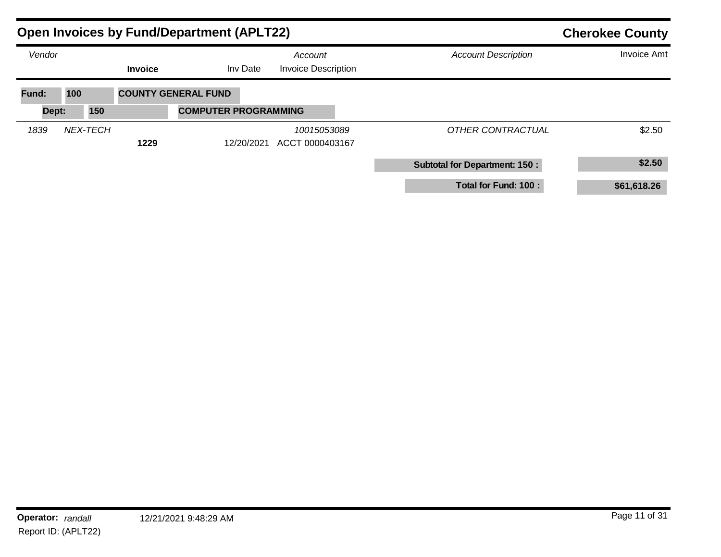|        |                 |                | <b>Open Invoices by Fund/Department (APLT22)</b> |                                       | <b>Cherokee County</b>               |                    |  |
|--------|-----------------|----------------|--------------------------------------------------|---------------------------------------|--------------------------------------|--------------------|--|
| Vendor |                 | <b>Invoice</b> | Inv Date                                         | Account<br><b>Invoice Description</b> | <b>Account Description</b>           | <b>Invoice Amt</b> |  |
| Fund:  | 100             |                | <b>COUNTY GENERAL FUND</b>                       |                                       |                                      |                    |  |
| Dept:  | 150             |                | <b>COMPUTER PROGRAMMING</b>                      |                                       |                                      |                    |  |
| 1839   | <b>NEX-TECH</b> | 1229           | 12/20/2021                                       | 10015053089<br>ACCT 0000403167        | OTHER CONTRACTUAL                    | \$2.50             |  |
|        |                 |                |                                                  |                                       | <b>Subtotal for Department: 150:</b> | \$2.50             |  |
|        |                 |                |                                                  |                                       | Total for Fund: 100 :                | \$61,618.26        |  |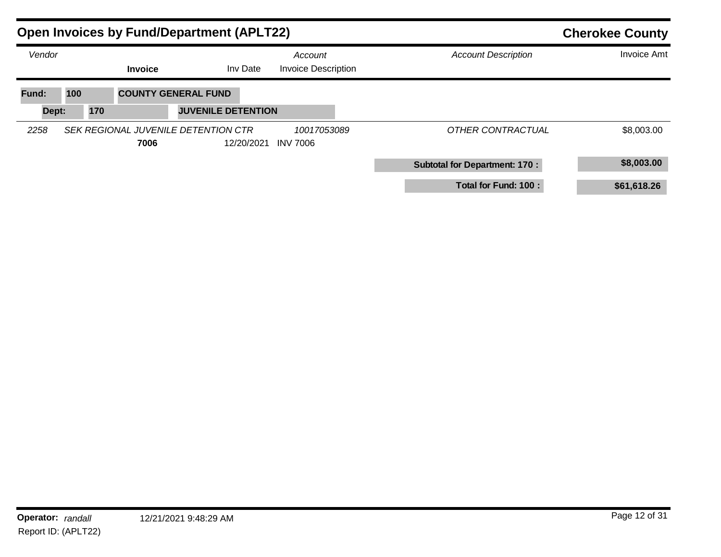|                | <b>Open Invoices by Fund/Department (APLT22)</b> |                |                                                         |            |                                       |  | <b>Cherokee County</b>               |                    |  |
|----------------|--------------------------------------------------|----------------|---------------------------------------------------------|------------|---------------------------------------|--|--------------------------------------|--------------------|--|
| Vendor         |                                                  | <b>Invoice</b> |                                                         | Inv Date   | Account<br><b>Invoice Description</b> |  | <b>Account Description</b>           | <b>Invoice Amt</b> |  |
| Fund:<br>Dept: | 100<br>170                                       |                | <b>COUNTY GENERAL FUND</b><br><b>JUVENILE DETENTION</b> |            |                                       |  |                                      |                    |  |
| 2258           |                                                  | 7006           | SEK REGIONAL JUVENILE DETENTION CTR                     | 12/20/2021 | 10017053089<br><b>INV 7006</b>        |  | OTHER CONTRACTUAL                    | \$8,003.00         |  |
|                |                                                  |                |                                                         |            |                                       |  | <b>Subtotal for Department: 170:</b> | \$8,003.00         |  |
|                |                                                  |                |                                                         |            |                                       |  | Total for Fund: 100 :                | \$61,618.26        |  |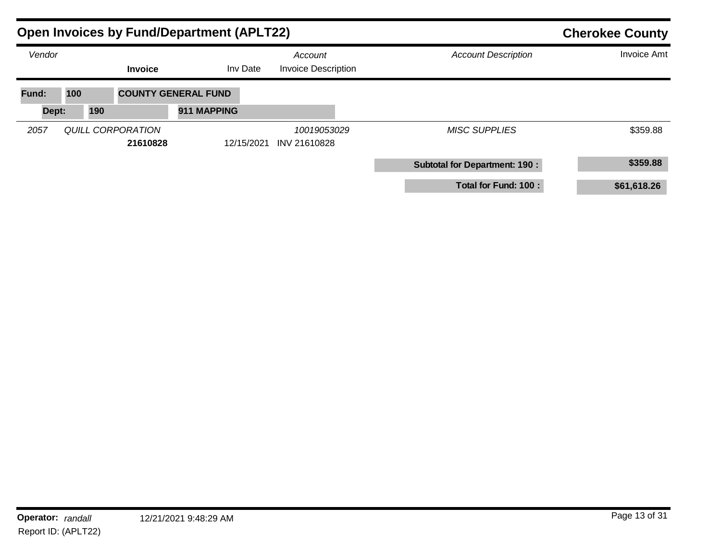|        | <b>Open Invoices by Fund/Department (APLT22)</b> |                |                            |                                       |             | <b>Cherokee County</b>               |                    |  |
|--------|--------------------------------------------------|----------------|----------------------------|---------------------------------------|-------------|--------------------------------------|--------------------|--|
| Vendor |                                                  | <b>Invoice</b> | Inv Date                   | Account<br><b>Invoice Description</b> |             | <b>Account Description</b>           | <b>Invoice Amt</b> |  |
| Fund:  | 100                                              |                | <b>COUNTY GENERAL FUND</b> |                                       |             |                                      |                    |  |
| Dept:  | 190                                              |                | 911 MAPPING                |                                       |             |                                      |                    |  |
| 2057   | <b>QUILL CORPORATION</b>                         | 21610828       | 12/15/2021                 | INV 21610828                          | 10019053029 | <b>MISC SUPPLIES</b>                 | \$359.88           |  |
|        |                                                  |                |                            |                                       |             | <b>Subtotal for Department: 190:</b> | \$359.88           |  |
|        |                                                  |                |                            |                                       |             | Total for Fund: 100 :                | \$61,618.26        |  |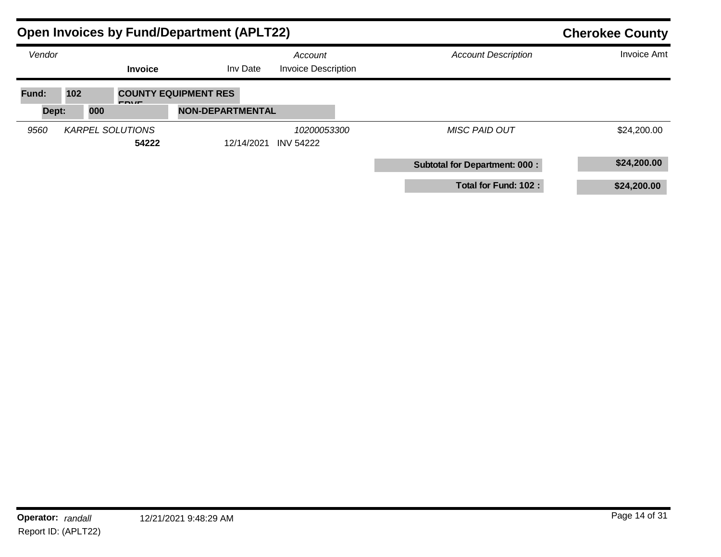|                | <b>Open Invoices by Fund/Department (APLT22)</b> |                                                        | <b>Cherokee County</b>                |                                      |                    |
|----------------|--------------------------------------------------|--------------------------------------------------------|---------------------------------------|--------------------------------------|--------------------|
| Vendor         | <b>Invoice</b>                                   | Inv Date                                               | Account<br><b>Invoice Description</b> | <b>Account Description</b>           | <b>Invoice Amt</b> |
| Fund:<br>Dept: | 102<br><b>FDVF</b><br>000                        | <b>COUNTY EQUIPMENT RES</b><br><b>NON-DEPARTMENTAL</b> |                                       |                                      |                    |
| 9560           | <b>KARPEL SOLUTIONS</b><br>54222                 | 12/14/2021                                             | 10200053300<br><b>INV 54222</b>       | <b>MISC PAID OUT</b>                 | \$24,200.00        |
|                |                                                  |                                                        |                                       | <b>Subtotal for Department: 000:</b> | \$24,200.00        |
|                |                                                  |                                                        |                                       | Total for Fund: 102 :                | \$24,200.00        |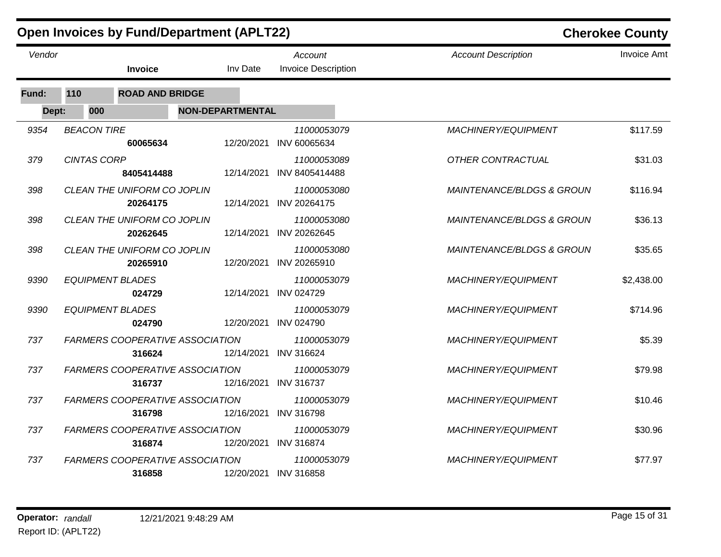|        |                    | <b>Open Invoices by Fund/Department (APLT22)</b> |                         |                                        |                                      | <b>Cherokee County</b> |
|--------|--------------------|--------------------------------------------------|-------------------------|----------------------------------------|--------------------------------------|------------------------|
| Vendor |                    | <b>Invoice</b>                                   | Inv Date                | Account<br><b>Invoice Description</b>  | <b>Account Description</b>           | <b>Invoice Amt</b>     |
| Fund:  | 110                | <b>ROAD AND BRIDGE</b>                           |                         |                                        |                                      |                        |
| Dept:  | 000                |                                                  | <b>NON-DEPARTMENTAL</b> |                                        |                                      |                        |
| 9354   | <b>BEACON TIRE</b> | 60065634                                         | 12/20/2021              | 11000053079<br>INV 60065634            | MACHINERY/EQUIPMENT                  | \$117.59               |
| 379    | <b>CINTAS CORP</b> | 8405414488                                       | 12/14/2021              | 11000053089<br>INV 8405414488          | OTHER CONTRACTUAL                    | \$31.03                |
| 398    |                    | CLEAN THE UNIFORM CO JOPLIN<br>20264175          | 12/14/2021              | 11000053080<br>INV 20264175            | <b>MAINTENANCE/BLDGS &amp; GROUN</b> | \$116.94               |
| 398    |                    | CLEAN THE UNIFORM CO JOPLIN<br>20262645          |                         | 11000053080<br>12/14/2021 INV 20262645 | <b>MAINTENANCE/BLDGS &amp; GROUN</b> | \$36.13                |
| 398    |                    | CLEAN THE UNIFORM CO JOPLIN<br>20265910          | 12/20/2021              | 11000053080<br>INV 20265910            | <b>MAINTENANCE/BLDGS &amp; GROUN</b> | \$35.65                |
| 9390   |                    | <b>EQUIPMENT BLADES</b><br>024729                |                         | 11000053079<br>12/14/2021 INV 024729   | MACHINERY/EQUIPMENT                  | \$2,438.00             |
| 9390   |                    | <b>EQUIPMENT BLADES</b><br>024790                | 12/20/2021              | 11000053079<br><b>INV 024790</b>       | MACHINERY/EQUIPMENT                  | \$714.96               |
| 737    |                    | <b>FARMERS COOPERATIVE ASSOCIATION</b><br>316624 |                         | 11000053079<br>12/14/2021 INV 316624   | MACHINERY/EQUIPMENT                  | \$5.39                 |
| 737    |                    | <b>FARMERS COOPERATIVE ASSOCIATION</b><br>316737 |                         | 11000053079<br>12/16/2021 INV 316737   | MACHINERY/EQUIPMENT                  | \$79.98                |
| 737    |                    | FARMERS COOPERATIVE ASSOCIATION<br>316798        | 12/16/2021              | 11000053079<br><b>INV 316798</b>       | MACHINERY/EQUIPMENT                  | \$10.46                |
| 737    |                    | FARMERS COOPERATIVE ASSOCIATION<br>316874        |                         | 11000053079<br>12/20/2021 INV 316874   | MACHINERY/EQUIPMENT                  | \$30.96                |
| 737    |                    | <b>FARMERS COOPERATIVE ASSOCIATION</b><br>316858 |                         | 11000053079<br>12/20/2021 INV 316858   | MACHINERY/EQUIPMENT                  | \$77.97                |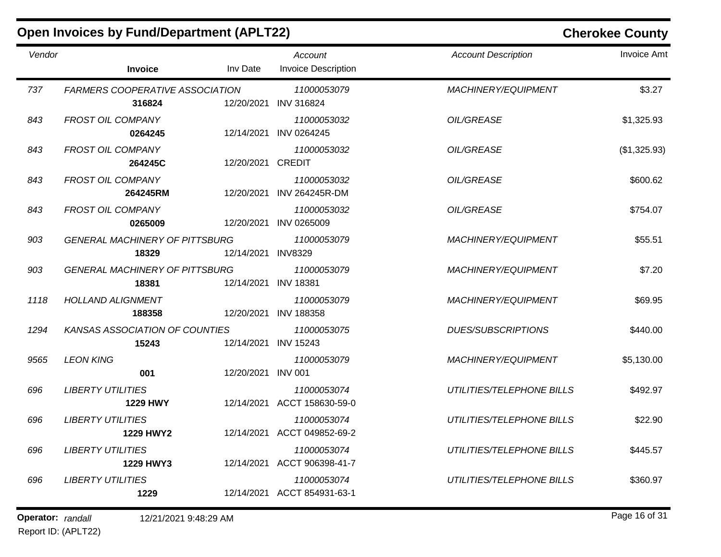|        | <b>Open Invoices by Fund/Department (APLT22)</b> |            |                                            | <b>Cherokee County</b>     |                    |  |
|--------|--------------------------------------------------|------------|--------------------------------------------|----------------------------|--------------------|--|
| Vendor | <b>Invoice</b>                                   | Inv Date   | Account<br><b>Invoice Description</b>      | <b>Account Description</b> | <b>Invoice Amt</b> |  |
| 737    | <b>FARMERS COOPERATIVE ASSOCIATION</b><br>316824 | 12/20/2021 | 11000053079<br><b>INV 316824</b>           | MACHINERY/EQUIPMENT        | \$3.27             |  |
| 843    | <b>FROST OIL COMPANY</b><br>0264245              | 12/14/2021 | 11000053032<br>INV 0264245                 | OIL/GREASE                 | \$1,325.93         |  |
| 843    | <b>FROST OIL COMPANY</b><br>264245C              | 12/20/2021 | 11000053032<br><b>CREDIT</b>               | <b>OIL/GREASE</b>          | (\$1,325.93)       |  |
| 843    | <b>FROST OIL COMPANY</b><br>264245RM             | 12/20/2021 | 11000053032<br><b>INV 264245R-DM</b>       | OIL/GREASE                 | \$600.62           |  |
| 843    | <b>FROST OIL COMPANY</b><br>0265009              | 12/20/2021 | 11000053032<br>INV 0265009                 | <b>OIL/GREASE</b>          | \$754.07           |  |
| 903    | <b>GENERAL MACHINERY OF PITTSBURG</b><br>18329   | 12/14/2021 | 11000053079<br><b>INV8329</b>              | MACHINERY/EQUIPMENT        | \$55.51            |  |
| 903    | <b>GENERAL MACHINERY OF PITTSBURG</b><br>18381   | 12/14/2021 | 11000053079<br><b>INV 18381</b>            | MACHINERY/EQUIPMENT        | \$7.20             |  |
| 1118   | <b>HOLLAND ALIGNMENT</b><br>188358               | 12/20/2021 | 11000053079<br><b>INV 188358</b>           | MACHINERY/EQUIPMENT        | \$69.95            |  |
| 1294   | <b>KANSAS ASSOCIATION OF COUNTIES</b><br>15243   | 12/14/2021 | 11000053075<br><b>INV 15243</b>            | <b>DUES/SUBSCRIPTIONS</b>  | \$440.00           |  |
| 9565   | <b>LEON KING</b><br>001                          | 12/20/2021 | 11000053079<br><b>INV 001</b>              | <b>MACHINERY/EQUIPMENT</b> | \$5,130.00         |  |
| 696    | <b>LIBERTY UTILITIES</b><br><b>1229 HWY</b>      |            | 11000053074<br>12/14/2021 ACCT 158630-59-0 | UTILITIES/TELEPHONE BILLS  | \$492.97           |  |
| 696    | <b>LIBERTY UTILITIES</b><br><b>1229 HWY2</b>     |            | 11000053074<br>12/14/2021 ACCT 049852-69-2 | UTILITIES/TELEPHONE BILLS  | \$22.90            |  |
| 696    | <b>LIBERTY UTILITIES</b><br>1229 HWY3            |            | 11000053074<br>12/14/2021 ACCT 906398-41-7 | UTILITIES/TELEPHONE BILLS  | \$445.57           |  |
| 696    | <b>LIBERTY UTILITIES</b><br>1229                 |            | 11000053074<br>12/14/2021 ACCT 854931-63-1 | UTILITIES/TELEPHONE BILLS  | \$360.97           |  |

**Operator:** randall 12/21/2021 9:48:29 AM *Page 16 of 31 Page 16 of 31* Report ID: (APLT22)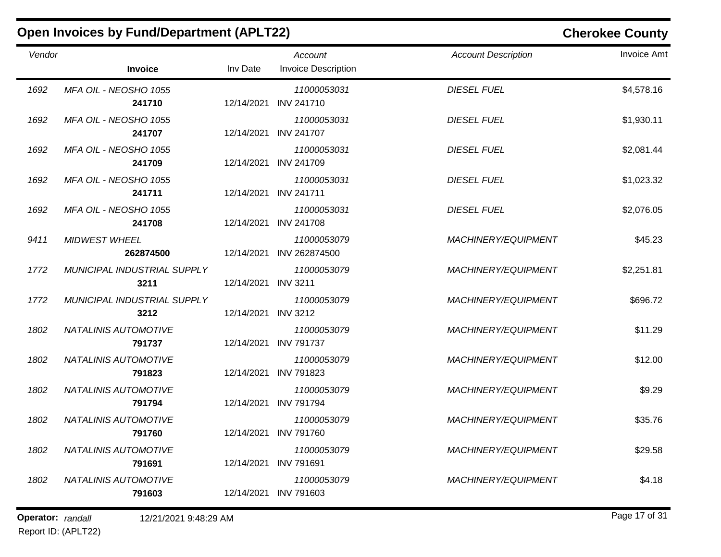|        | <b>Open Invoices by Fund/Department (APLT22)</b> |            |                                       | <b>Cherokee County</b>     |                    |  |
|--------|--------------------------------------------------|------------|---------------------------------------|----------------------------|--------------------|--|
| Vendor | <b>Invoice</b>                                   | Inv Date   | Account<br><b>Invoice Description</b> | <b>Account Description</b> | <b>Invoice Amt</b> |  |
| 1692   | MFA OIL - NEOSHO 1055<br>241710                  | 12/14/2021 | 11000053031<br><b>INV 241710</b>      | <b>DIESEL FUEL</b>         | \$4,578.16         |  |
| 1692   | MFA OIL - NEOSHO 1055<br>241707                  | 12/14/2021 | 11000053031<br><b>INV 241707</b>      | <b>DIESEL FUEL</b>         | \$1,930.11         |  |
| 1692   | MFA OIL - NEOSHO 1055<br>241709                  | 12/14/2021 | 11000053031<br><b>INV 241709</b>      | <b>DIESEL FUEL</b>         | \$2,081.44         |  |
| 1692   | MFA OIL - NEOSHO 1055<br>241711                  | 12/14/2021 | 11000053031<br><b>INV 241711</b>      | <b>DIESEL FUEL</b>         | \$1,023.32         |  |
| 1692   | MFA OIL - NEOSHO 1055<br>241708                  | 12/14/2021 | 11000053031<br><b>INV 241708</b>      | <b>DIESEL FUEL</b>         | \$2,076.05         |  |
| 9411   | <b>MIDWEST WHEEL</b><br>262874500                | 12/14/2021 | 11000053079<br>INV 262874500          | MACHINERY/EQUIPMENT        | \$45.23            |  |
| 1772   | MUNICIPAL INDUSTRIAL SUPPLY<br>3211              | 12/14/2021 | 11000053079<br><b>INV 3211</b>        | <b>MACHINERY/EQUIPMENT</b> | \$2,251.81         |  |
| 1772   | MUNICIPAL INDUSTRIAL SUPPLY<br>3212              | 12/14/2021 | 11000053079<br><b>INV 3212</b>        | <b>MACHINERY/EQUIPMENT</b> | \$696.72           |  |
| 1802   | NATALINIS AUTOMOTIVE<br>791737                   | 12/14/2021 | 11000053079<br><b>INV 791737</b>      | <b>MACHINERY/EQUIPMENT</b> | \$11.29            |  |
| 1802   | NATALINIS AUTOMOTIVE<br>791823                   | 12/14/2021 | 11000053079<br><b>INV 791823</b>      | <b>MACHINERY/EQUIPMENT</b> | \$12.00            |  |
| 1802   | NATALINIS AUTOMOTIVE<br>791794                   | 12/14/2021 | 11000053079<br><b>INV 791794</b>      | <b>MACHINERY/EQUIPMENT</b> | \$9.29             |  |
| 1802   | NATALINIS AUTOMOTIVE<br>791760                   |            | 11000053079<br>12/14/2021 INV 791760  | <b>MACHINERY/EQUIPMENT</b> | \$35.76            |  |
| 1802   | NATALINIS AUTOMOTIVE<br>791691                   |            | 11000053079<br>12/14/2021 INV 791691  | <b>MACHINERY/EQUIPMENT</b> | \$29.58            |  |
| 1802   | NATALINIS AUTOMOTIVE<br>791603                   |            | 11000053079<br>12/14/2021 INV 791603  | <b>MACHINERY/EQUIPMENT</b> | \$4.18             |  |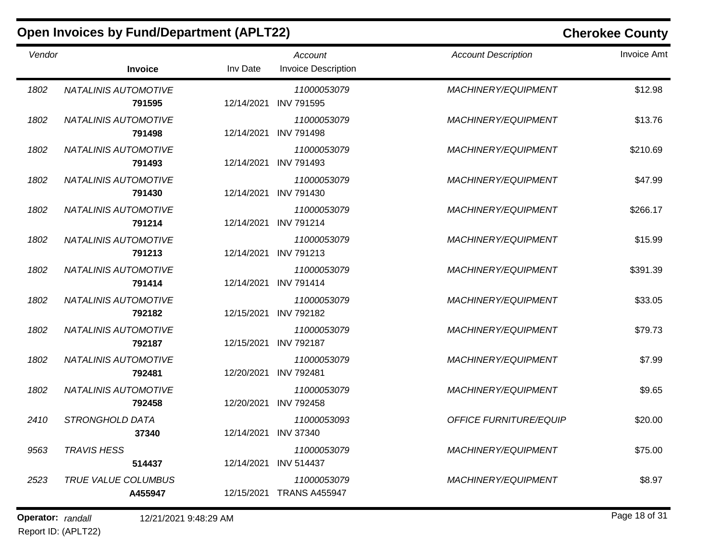|        | <b>Open Invoices by Fund/Department (APLT22)</b> |            |                                         | <b>Cherokee County</b>        |                    |  |
|--------|--------------------------------------------------|------------|-----------------------------------------|-------------------------------|--------------------|--|
| Vendor | <b>Invoice</b>                                   | Inv Date   | Account<br><b>Invoice Description</b>   | <b>Account Description</b>    | <b>Invoice Amt</b> |  |
| 1802   | <b>NATALINIS AUTOMOTIVE</b><br>791595            | 12/14/2021 | 11000053079<br><b>INV 791595</b>        | <b>MACHINERY/EQUIPMENT</b>    | \$12.98            |  |
| 1802   | <b>NATALINIS AUTOMOTIVE</b><br>791498            | 12/14/2021 | 11000053079<br><b>INV 791498</b>        | <b>MACHINERY/EQUIPMENT</b>    | \$13.76            |  |
| 1802   | <b>NATALINIS AUTOMOTIVE</b><br>791493            | 12/14/2021 | 11000053079<br><b>INV 791493</b>        | MACHINERY/EQUIPMENT           | \$210.69           |  |
| 1802   | <b>NATALINIS AUTOMOTIVE</b><br>791430            | 12/14/2021 | 11000053079<br><b>INV 791430</b>        | <b>MACHINERY/EQUIPMENT</b>    | \$47.99            |  |
| 1802   | <b>NATALINIS AUTOMOTIVE</b><br>791214            | 12/14/2021 | 11000053079<br><b>INV 791214</b>        | <b>MACHINERY/EQUIPMENT</b>    | \$266.17           |  |
| 1802   | NATALINIS AUTOMOTIVE<br>791213                   | 12/14/2021 | 11000053079<br><b>INV 791213</b>        | <b>MACHINERY/EQUIPMENT</b>    | \$15.99            |  |
| 1802   | <b>NATALINIS AUTOMOTIVE</b><br>791414            | 12/14/2021 | 11000053079<br><b>INV 791414</b>        | MACHINERY/EQUIPMENT           | \$391.39           |  |
| 1802   | <b>NATALINIS AUTOMOTIVE</b><br>792182            | 12/15/2021 | 11000053079<br><b>INV 792182</b>        | MACHINERY/EQUIPMENT           | \$33.05            |  |
| 1802   | <b>NATALINIS AUTOMOTIVE</b><br>792187            | 12/15/2021 | 11000053079<br><b>INV 792187</b>        | <b>MACHINERY/EQUIPMENT</b>    | \$79.73            |  |
| 1802   | NATALINIS AUTOMOTIVE<br>792481                   | 12/20/2021 | 11000053079<br><b>INV 792481</b>        | <b>MACHINERY/EQUIPMENT</b>    | \$7.99             |  |
| 1802   | NATALINIS AUTOMOTIVE<br>792458                   | 12/20/2021 | 11000053079<br><b>INV 792458</b>        | <b>MACHINERY/EQUIPMENT</b>    | \$9.65             |  |
| 2410   | STRONGHOLD DATA<br>37340                         |            | 11000053093<br>12/14/2021 INV 37340     | <b>OFFICE FURNITURE/EQUIP</b> | \$20.00            |  |
| 9563   | <b>TRAVIS HESS</b><br>514437                     | 12/14/2021 | 11000053079<br><b>INV 514437</b>        | <b>MACHINERY/EQUIPMENT</b>    | \$75.00            |  |
| 2523   | <b>TRUE VALUE COLUMBUS</b><br>A455947            |            | 11000053079<br>12/15/2021 TRANS A455947 | <b>MACHINERY/EQUIPMENT</b>    | \$8.97             |  |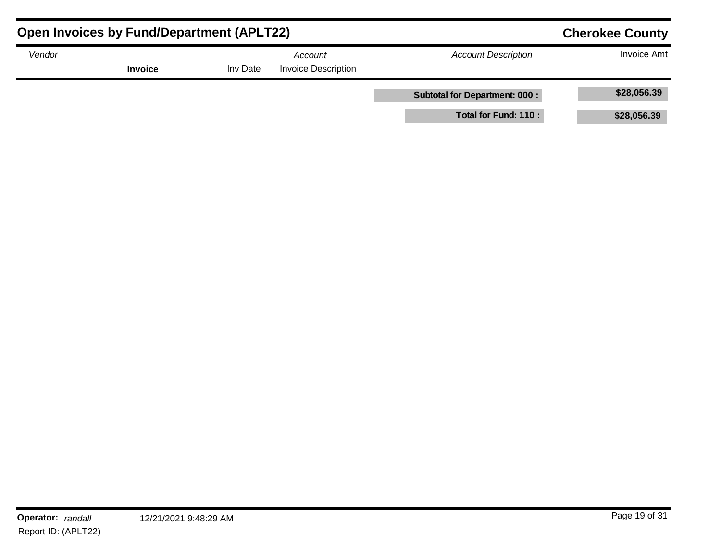| <b>Open Invoices by Fund/Department (APLT22)</b>                              | <b>Cherokee County</b> |  |                            |                                      |             |
|-------------------------------------------------------------------------------|------------------------|--|----------------------------|--------------------------------------|-------------|
| Vendor<br>Account<br><b>Invoice Description</b><br><b>Invoice</b><br>Inv Date |                        |  | <b>Account Description</b> | <b>Invoice Amt</b>                   |             |
|                                                                               |                        |  |                            | <b>Subtotal for Department: 000:</b> | \$28,056.39 |
|                                                                               |                        |  |                            | Total for Fund: 110 :                | \$28,056.39 |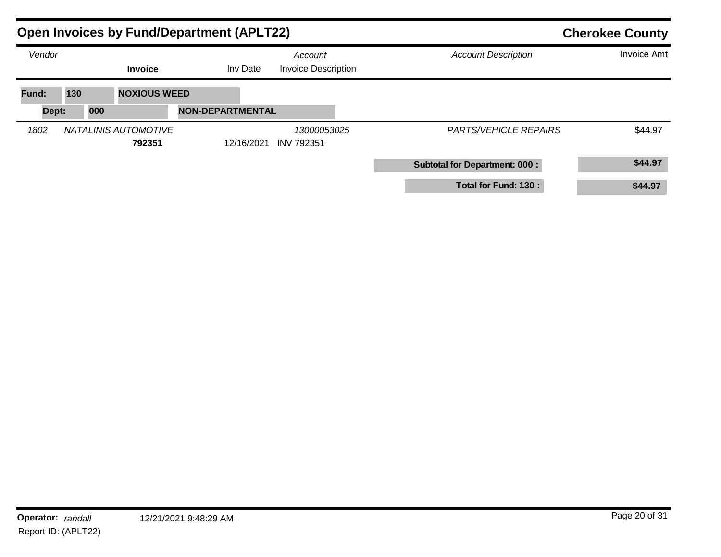|                | <b>Open Invoices by Fund/Department (APLT22)</b> |                         |                                       | <b>Cherokee County</b>               |                    |  |
|----------------|--------------------------------------------------|-------------------------|---------------------------------------|--------------------------------------|--------------------|--|
| Vendor         | <b>Invoice</b>                                   | Inv Date                | Account<br><b>Invoice Description</b> | <b>Account Description</b>           | <b>Invoice Amt</b> |  |
| Fund:<br>Dept: | 130<br><b>NOXIOUS WEED</b><br>000                | <b>NON-DEPARTMENTAL</b> |                                       |                                      |                    |  |
| 1802           | NATALINIS AUTOMOTIVE<br>792351                   | 12/16/2021              | 13000053025<br><b>INV 792351</b>      | <b>PARTS/VEHICLE REPAIRS</b>         | \$44.97            |  |
|                |                                                  |                         |                                       | <b>Subtotal for Department: 000:</b> | \$44.97            |  |
|                |                                                  |                         |                                       | Total for Fund: 130 :                | \$44.97            |  |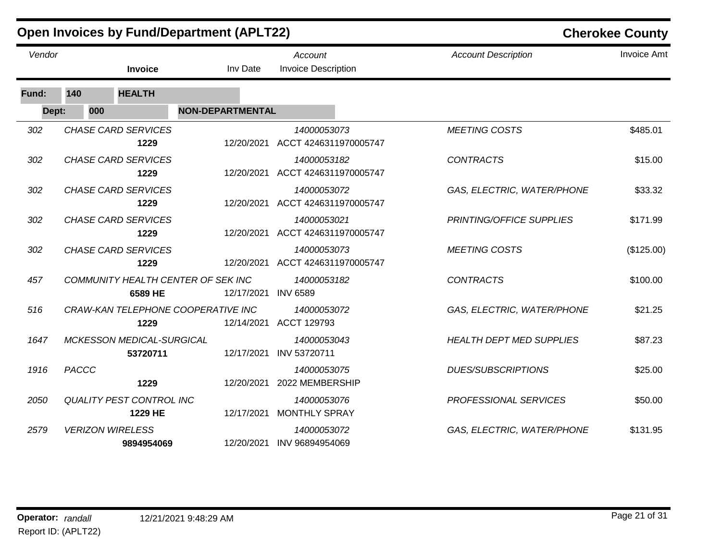|        |       |                                            | <b>Open Invoices by Fund/Department (APLT22)</b> |                                                 | <b>Cherokee County</b>          |                    |  |
|--------|-------|--------------------------------------------|--------------------------------------------------|-------------------------------------------------|---------------------------------|--------------------|--|
| Vendor |       | Invoice                                    | Inv Date                                         | Account<br><b>Invoice Description</b>           | <b>Account Description</b>      | <b>Invoice Amt</b> |  |
| Fund:  | 140   | <b>HEALTH</b>                              |                                                  |                                                 |                                 |                    |  |
| Dept:  | 000   |                                            | <b>NON-DEPARTMENTAL</b>                          |                                                 |                                 |                    |  |
| 302    |       | <b>CHASE CARD SERVICES</b><br>1229         | 12/20/2021                                       | 14000053073<br>ACCT 4246311970005747            | <b>MEETING COSTS</b>            | \$485.01           |  |
| 302    |       | <b>CHASE CARD SERVICES</b><br>1229         | 12/20/2021                                       | 14000053182<br>ACCT 4246311970005747            | <b>CONTRACTS</b>                | \$15.00            |  |
| 302    |       | <b>CHASE CARD SERVICES</b><br>1229         |                                                  | 14000053072<br>12/20/2021 ACCT 4246311970005747 | GAS, ELECTRIC, WATER/PHONE      | \$33.32            |  |
| 302    |       | <b>CHASE CARD SERVICES</b><br>1229         | 12/20/2021                                       | 14000053021<br>ACCT 4246311970005747            | PRINTING/OFFICE SUPPLIES        | \$171.99           |  |
| 302    |       | <b>CHASE CARD SERVICES</b><br>1229         | 12/20/2021                                       | 14000053073<br>ACCT 4246311970005747            | <b>MEETING COSTS</b>            | (\$125.00)         |  |
| 457    |       | 6589 HE                                    | COMMUNITY HEALTH CENTER OF SEK INC<br>12/17/2021 | 14000053182<br><b>INV 6589</b>                  | <b>CONTRACTS</b>                | \$100.00           |  |
| 516    |       | 1229                                       | CRAW-KAN TELEPHONE COOPERATIVE INC               | 14000053072<br>12/14/2021 ACCT 129793           | GAS, ELECTRIC, WATER/PHONE      | \$21.25            |  |
| 1647   |       | MCKESSON MEDICAL-SURGICAL<br>53720711      | 12/17/2021                                       | 14000053043<br>INV 53720711                     | <b>HEALTH DEPT MED SUPPLIES</b> | \$87.23            |  |
| 1916   | PACCC | 1229                                       | 12/20/2021                                       | 14000053075<br>2022 MEMBERSHIP                  | <b>DUES/SUBSCRIPTIONS</b>       | \$25.00            |  |
| 2050   |       | <b>QUALITY PEST CONTROL INC</b><br>1229 HE | 12/17/2021                                       | 14000053076<br><b>MONTHLY SPRAY</b>             | PROFESSIONAL SERVICES           | \$50.00            |  |
| 2579   |       | <b>VERIZON WIRELESS</b><br>9894954069      | 12/20/2021                                       | 14000053072<br>INV 96894954069                  | GAS, ELECTRIC, WATER/PHONE      | \$131.95           |  |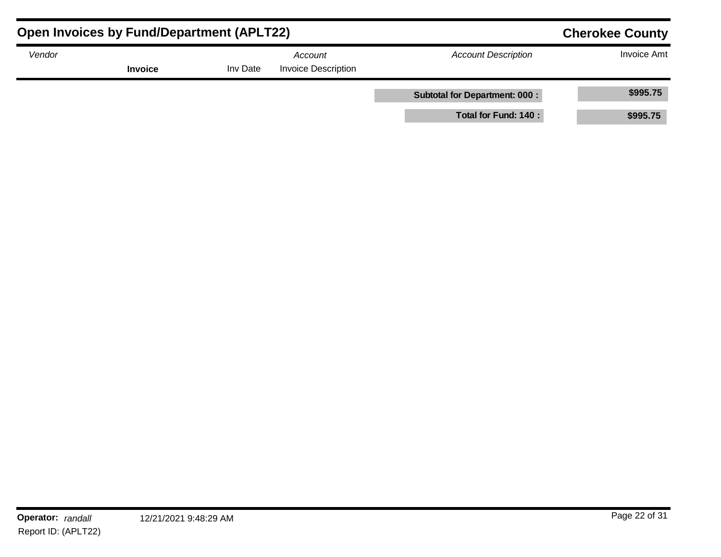| <b>Open Invoices by Fund/Department (APLT22)</b> | <b>Cherokee County</b> |          |                                       |                                      |                    |
|--------------------------------------------------|------------------------|----------|---------------------------------------|--------------------------------------|--------------------|
| Vendor                                           | <b>Invoice</b>         | Inv Date | Account<br><b>Invoice Description</b> | <b>Account Description</b>           | <b>Invoice Amt</b> |
|                                                  |                        |          |                                       | <b>Subtotal for Department: 000:</b> | \$995.75           |
|                                                  |                        |          |                                       | Total for Fund: 140 :                | \$995.75           |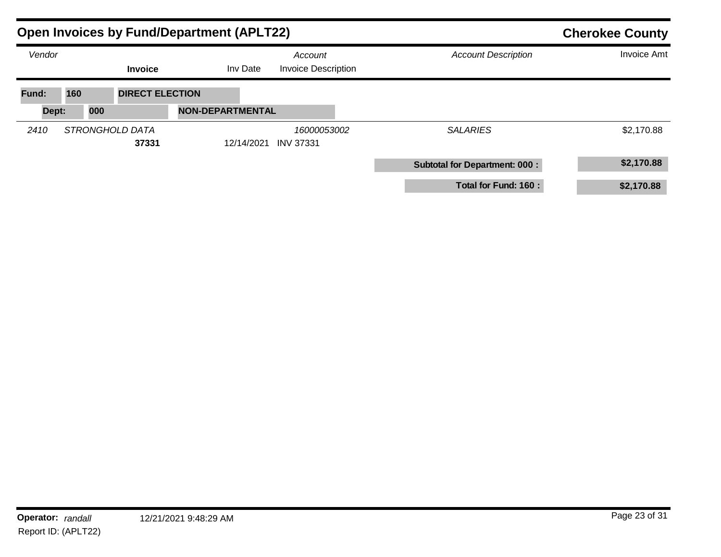|        |                 |                        | <b>Open Invoices by Fund/Department (APLT22)</b> | <b>Cherokee County</b>                |  |                                      |                    |
|--------|-----------------|------------------------|--------------------------------------------------|---------------------------------------|--|--------------------------------------|--------------------|
| Vendor |                 | <b>Invoice</b>         | Inv Date                                         | Account<br><b>Invoice Description</b> |  | <b>Account Description</b>           | <b>Invoice Amt</b> |
| Fund:  | 160             | <b>DIRECT ELECTION</b> |                                                  |                                       |  |                                      |                    |
| Dept:  | 000             |                        | <b>NON-DEPARTMENTAL</b>                          |                                       |  |                                      |                    |
| 2410   | STRONGHOLD DATA | 37331                  | 12/14/2021                                       | 16000053002<br><b>INV 37331</b>       |  | <b>SALARIES</b>                      | \$2,170.88         |
|        |                 |                        |                                                  |                                       |  | <b>Subtotal for Department: 000:</b> | \$2,170.88         |
|        |                 |                        |                                                  |                                       |  | Total for Fund: 160 :                | \$2,170.88         |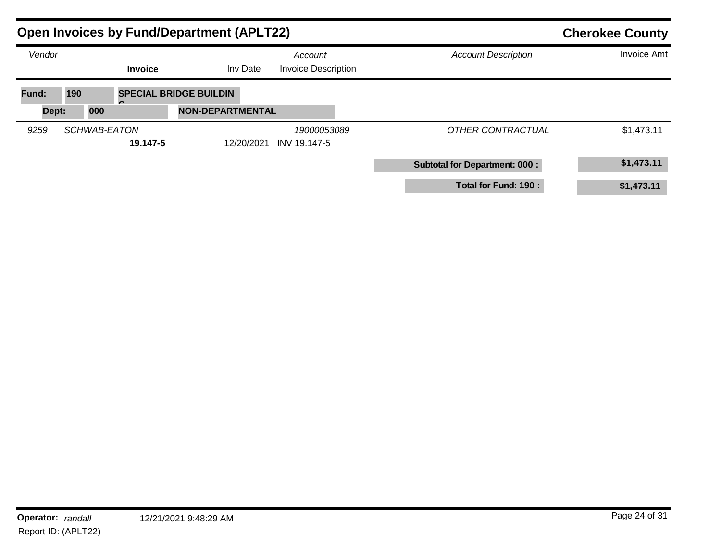|        | <b>Open Invoices by Fund/Department (APLT22)</b> |                               |                                       | <b>Cherokee County</b>               |                    |
|--------|--------------------------------------------------|-------------------------------|---------------------------------------|--------------------------------------|--------------------|
| Vendor | <b>Invoice</b>                                   | Inv Date                      | Account<br><b>Invoice Description</b> | <b>Account Description</b>           | <b>Invoice Amt</b> |
| Fund:  | 190                                              | <b>SPECIAL BRIDGE BUILDIN</b> |                                       |                                      |                    |
| Dept:  | 000                                              | <b>NON-DEPARTMENTAL</b>       |                                       |                                      |                    |
| 9259   | SCHWAB-EATON<br>19.147-5                         | 12/20/2021                    | 19000053089<br>INV 19.147-5           | OTHER CONTRACTUAL                    | \$1,473.11         |
|        |                                                  |                               |                                       | <b>Subtotal for Department: 000:</b> | \$1,473.11         |
|        |                                                  |                               |                                       | Total for Fund: 190 :                | \$1,473.11         |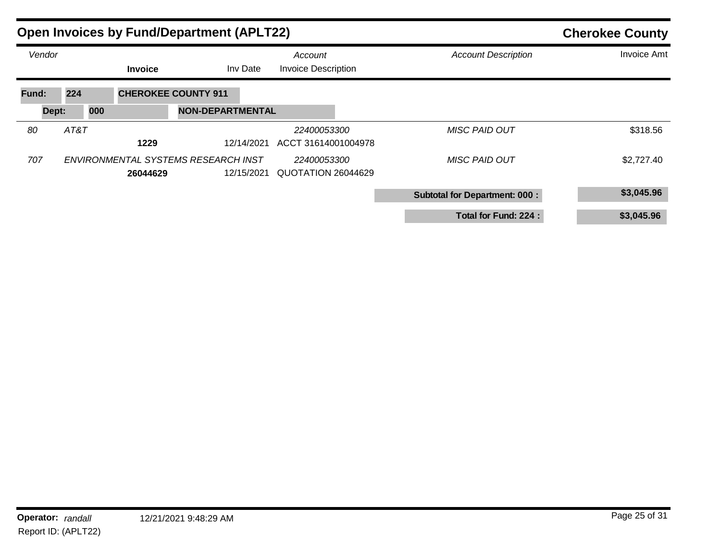| <b>Open Invoices by Fund/Department (APLT22)</b> |      |     |                |                                     |            |                                       | <b>Cherokee County</b> |                                      |                    |
|--------------------------------------------------|------|-----|----------------|-------------------------------------|------------|---------------------------------------|------------------------|--------------------------------------|--------------------|
| Vendor                                           |      |     | <b>Invoice</b> |                                     | Inv Date   | Account<br><b>Invoice Description</b> |                        | <b>Account Description</b>           | <b>Invoice Amt</b> |
| Fund:                                            | 224  |     |                | <b>CHEROKEE COUNTY 911</b>          |            |                                       |                        |                                      |                    |
| Dept:                                            |      | 000 |                | <b>NON-DEPARTMENTAL</b>             |            |                                       |                        |                                      |                    |
| 80                                               | AT&T |     |                |                                     |            | 22400053300                           |                        | <b>MISC PAID OUT</b>                 | \$318.56           |
|                                                  |      |     | 1229           |                                     | 12/14/2021 | ACCT 31614001004978                   |                        |                                      |                    |
| 707                                              |      |     |                | ENVIRONMENTAL SYSTEMS RESEARCH INST |            | 22400053300                           |                        | <b>MISC PAID OUT</b>                 | \$2,727.40         |
|                                                  |      |     | 26044629       |                                     | 12/15/2021 | QUOTATION 26044629                    |                        |                                      |                    |
|                                                  |      |     |                |                                     |            |                                       |                        | <b>Subtotal for Department: 000:</b> | \$3,045.96         |
|                                                  |      |     |                |                                     |            |                                       |                        | Total for Fund: 224 :                | \$3,045.96         |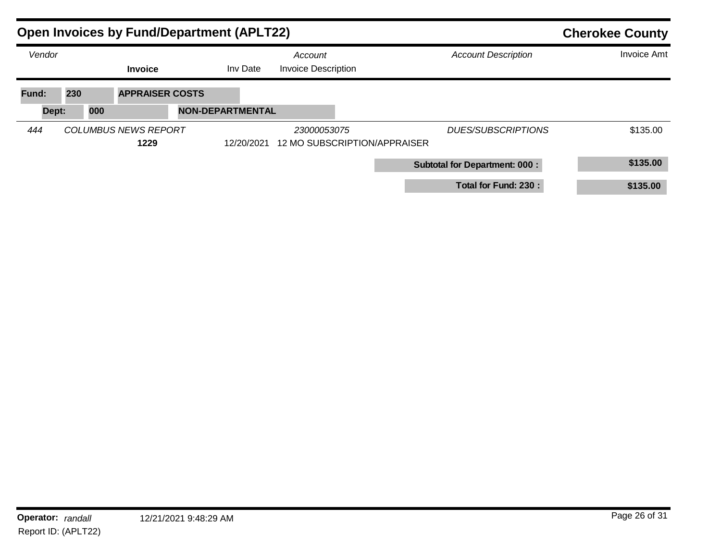| <b>Open Invoices by Fund/Department (APLT22)</b> |     |                                     |                         |            |                                       |                              |                                      | <b>Cherokee County</b> |
|--------------------------------------------------|-----|-------------------------------------|-------------------------|------------|---------------------------------------|------------------------------|--------------------------------------|------------------------|
| Vendor                                           |     | <b>Invoice</b>                      |                         | Inv Date   | Account<br><b>Invoice Description</b> |                              | <b>Account Description</b>           | <b>Invoice Amt</b>     |
| Fund:                                            | 230 | <b>APPRAISER COSTS</b>              |                         |            |                                       |                              |                                      |                        |
| Dept:                                            | 000 |                                     | <b>NON-DEPARTMENTAL</b> |            |                                       |                              |                                      |                        |
| 444                                              |     | <b>COLUMBUS NEWS REPORT</b><br>1229 |                         | 12/20/2021 | 23000053075                           | 12 MO SUBSCRIPTION/APPRAISER | <b>DUES/SUBSCRIPTIONS</b>            | \$135.00               |
|                                                  |     |                                     |                         |            |                                       |                              | <b>Subtotal for Department: 000:</b> | \$135.00               |
|                                                  |     |                                     |                         |            |                                       |                              | Total for Fund: 230 :                | \$135.00               |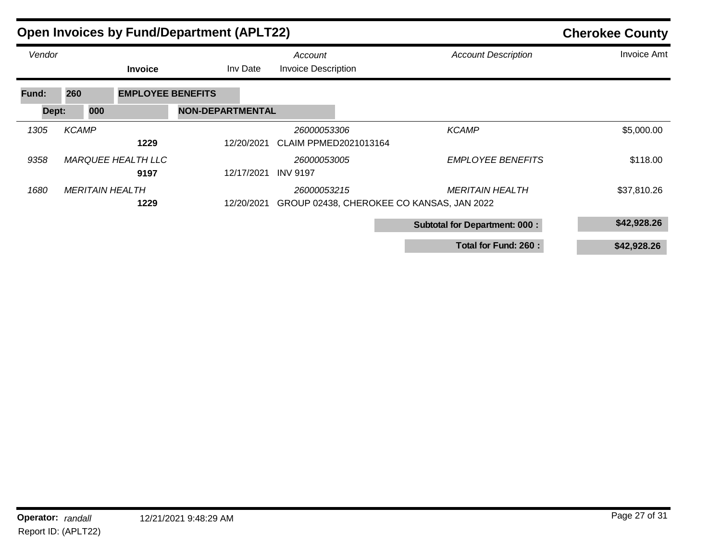| <b>Open Invoices by Fund/Department (APLT22)</b> | <b>Cherokee County</b> |                                   |                         |                                             |                                                                     |                    |
|--------------------------------------------------|------------------------|-----------------------------------|-------------------------|---------------------------------------------|---------------------------------------------------------------------|--------------------|
| Vendor                                           |                        | <b>Invoice</b>                    | Inv Date                | Account<br><b>Invoice Description</b>       | <b>Account Description</b>                                          | <b>Invoice Amt</b> |
| Fund:                                            | 260                    | <b>EMPLOYEE BENEFITS</b>          |                         |                                             |                                                                     |                    |
| Dept:                                            | 000                    |                                   | <b>NON-DEPARTMENTAL</b> |                                             |                                                                     |                    |
| 1305                                             | <b>KCAMP</b>           | 1229                              | 12/20/2021              | 26000053306<br><b>CLAIM PPMED2021013164</b> | <b>KCAMP</b>                                                        | \$5,000.00         |
| 9358                                             |                        | <b>MARQUEE HEALTH LLC</b><br>9197 | 12/17/2021              | 26000053005<br><b>INV 9197</b>              | <b>EMPLOYEE BENEFITS</b>                                            | \$118.00           |
| 1680                                             | <b>MERITAIN HEALTH</b> | 1229                              | 12/20/2021              | 26000053215                                 | <b>MERITAIN HEALTH</b><br>GROUP 02438, CHEROKEE CO KANSAS, JAN 2022 | \$37,810.26        |
|                                                  |                        |                                   |                         |                                             | <b>Subtotal for Department: 000:</b>                                | \$42,928.26        |
|                                                  |                        |                                   |                         |                                             | Total for Fund: 260 :                                               | \$42,928.26        |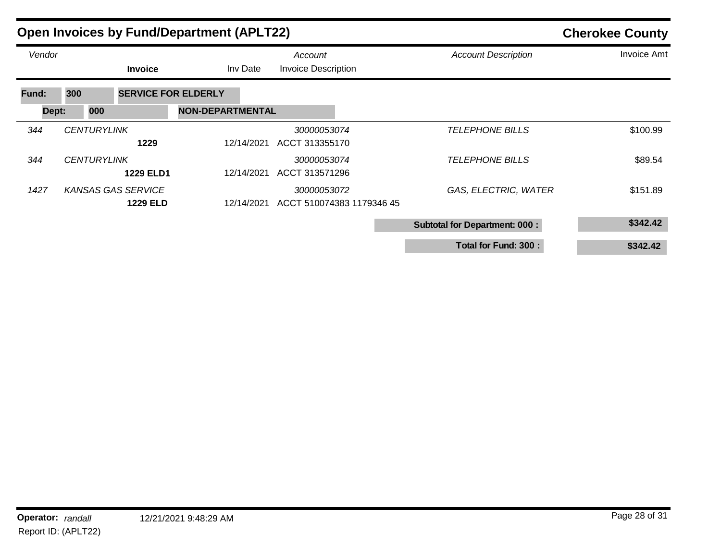| <b>Open Invoices by Fund/Department (APLT22)</b> |                    | <b>Cherokee County</b>                       |                         |                                          |                                      |                    |
|--------------------------------------------------|--------------------|----------------------------------------------|-------------------------|------------------------------------------|--------------------------------------|--------------------|
| Vendor                                           |                    | <b>Invoice</b>                               | Inv Date                | Account<br><b>Invoice Description</b>    | <b>Account Description</b>           | <b>Invoice Amt</b> |
| Fund:                                            | 300                | <b>SERVICE FOR ELDERLY</b>                   |                         |                                          |                                      |                    |
| Dept:                                            | 000                |                                              | <b>NON-DEPARTMENTAL</b> |                                          |                                      |                    |
| 344                                              | <b>CENTURYLINK</b> | 1229                                         | 12/14/2021              | 30000053074<br>ACCT 313355170            | <b>TELEPHONE BILLS</b>               | \$100.99           |
| 344                                              | <b>CENTURYLINK</b> | <b>1229 ELD1</b>                             | 12/14/2021              | 30000053074<br>ACCT 313571296            | <b>TELEPHONE BILLS</b>               | \$89.54            |
| 1427                                             |                    | <b>KANSAS GAS SERVICE</b><br><b>1229 ELD</b> | 12/14/2021              | 30000053072<br>ACCT 510074383 1179346 45 | GAS, ELECTRIC, WATER                 | \$151.89           |
|                                                  |                    |                                              |                         |                                          | <b>Subtotal for Department: 000:</b> | \$342.42           |
|                                                  |                    |                                              |                         |                                          | Total for Fund: 300 :                | \$342.42           |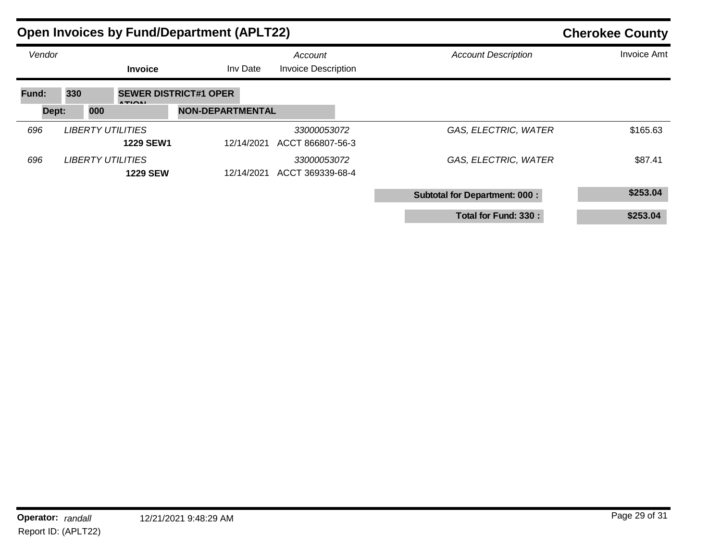| <b>Open Invoices by Fund/Department (APLT22)</b> |     |     |                                             |                              |            |                                       |  | <b>Cherokee County</b>               |                    |  |
|--------------------------------------------------|-----|-----|---------------------------------------------|------------------------------|------------|---------------------------------------|--|--------------------------------------|--------------------|--|
| Vendor                                           |     |     | <b>Invoice</b>                              |                              | Inv Date   | Account<br><b>Invoice Description</b> |  | <b>Account Description</b>           | <b>Invoice Amt</b> |  |
| Fund:                                            | 330 |     | <b>ATIONI</b>                               | <b>SEWER DISTRICT#1 OPER</b> |            |                                       |  |                                      |                    |  |
| Dept:                                            |     | 000 |                                             | <b>NON-DEPARTMENTAL</b>      |            |                                       |  |                                      |                    |  |
| 696                                              |     |     | LIBERTY UTILITIES<br><b>1229 SEW1</b>       |                              | 12/14/2021 | 33000053072<br>ACCT 866807-56-3       |  | GAS, ELECTRIC, WATER                 | \$165.63           |  |
| 696                                              |     |     | <b>LIBERTY UTILITIES</b><br><b>1229 SEW</b> |                              | 12/14/2021 | 33000053072<br>ACCT 369339-68-4       |  | GAS, ELECTRIC, WATER                 | \$87.41            |  |
|                                                  |     |     |                                             |                              |            |                                       |  | <b>Subtotal for Department: 000:</b> | \$253.04           |  |
|                                                  |     |     |                                             |                              |            |                                       |  | Total for Fund: 330 :                | \$253.04           |  |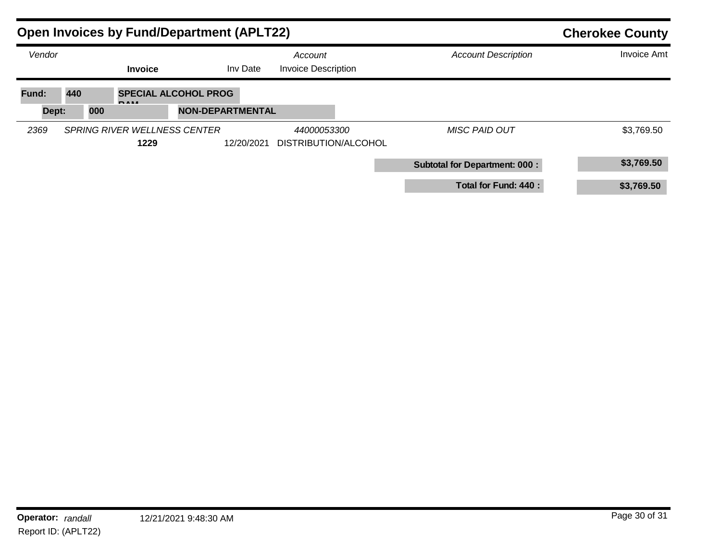| <b>Open Invoices by Fund/Department (APLT22)</b> | <b>Cherokee County</b>                                   |                         |                                            |                                      |                    |
|--------------------------------------------------|----------------------------------------------------------|-------------------------|--------------------------------------------|--------------------------------------|--------------------|
| Vendor                                           | <b>Invoice</b>                                           | Inv Date                | Account<br><b>Invoice Description</b>      | <b>Account Description</b>           | <b>Invoice Amt</b> |
| Fund:<br>Dept:                                   | 440<br><b>SPECIAL ALCOHOL PROG</b><br><b>DARE</b><br>000 | <b>NON-DEPARTMENTAL</b> |                                            |                                      |                    |
| 2369                                             | SPRING RIVER WELLNESS CENTER<br>1229                     | 12/20/2021              | <i>44000053300</i><br>DISTRIBUTION/ALCOHOL | <b>MISC PAID OUT</b>                 | \$3,769.50         |
|                                                  |                                                          |                         |                                            | <b>Subtotal for Department: 000:</b> | \$3,769.50         |
|                                                  |                                                          |                         |                                            | Total for Fund: 440 :                | \$3,769.50         |